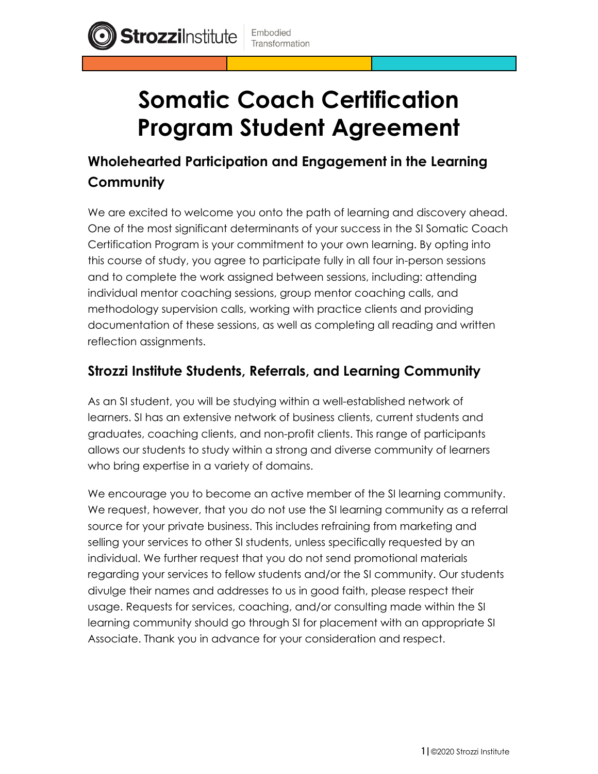**Strozzilnstitute** 



# **Wholehearted Participation and Engagement in the Learning Community**

We are excited to welcome you onto the path of learning and discovery ahead. One of the most significant determinants of your success in the SI Somatic Coach Certification Program is your commitment to your own learning. By opting into this course of study, you agree to participate fully in all four in-person sessions and to complete the work assigned between sessions, including: attending individual mentor coaching sessions, group mentor coaching calls, and methodology supervision calls, working with practice clients and providing documentation of these sessions, as well as completing all reading and written reflection assignments.

#### **Strozzi Institute Students, Referrals, and Learning Community**

As an SI student, you will be studying within a well-established network of learners. SI has an extensive network of business clients, current students and graduates, coaching clients, and non-profit clients. This range of participants allows our students to study within a strong and diverse community of learners who bring expertise in a variety of domains.

We encourage you to become an active member of the SI learning community. We request, however, that you do not use the SI learning community as a referral source for your private business. This includes refraining from marketing and selling your services to other SI students, unless specifically requested by an individual. We further request that you do not send promotional materials regarding your services to fellow students and/or the SI community. Our students divulge their names and addresses to us in good faith, please respect their usage. Requests for services, coaching, and/or consulting made within the SI learning community should go through SI for placement with an appropriate SI Associate. Thank you in advance for your consideration and respect.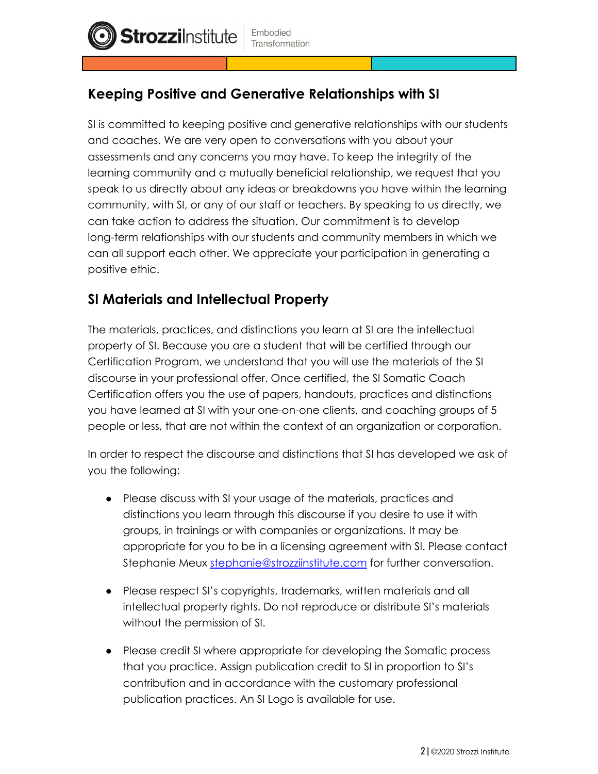## **Keeping Positive and Generative Relationships with SI**

SI is committed to keeping positive and generative relationships with our students and coaches. We are very open to conversations with you about your assessments and any concerns you may have. To keep the integrity of the learning community and a mutually beneficial relationship, we request that you speak to us directly about any ideas or breakdowns you have within the learning community, with SI, or any of our staff or teachers. By speaking to us directly, we can take action to address the situation. Our commitment is to develop long-term relationships with our students and community members in which we can all support each other. We appreciate your participation in generating a positive ethic.

#### **SI Materials and Intellectual Property**

**Strozzilnstitute** 

The materials, practices, and distinctions you learn at SI are the intellectual property of SI. Because you are a student that will be certified through our Certification Program, we understand that you will use the materials of the SI discourse in your professional offer. Once certified, the SI Somatic Coach Certification offers you the use of papers, handouts, practices and distinctions you have learned at SI with your one-on-one clients, and coaching groups of 5 people or less, that are not within the context of an organization or corporation.

In order to respect the discourse and distinctions that SI has developed we ask of you the following:

- Please discuss with SI your usage of the materials, practices and distinctions you learn through this discourse if you desire to use it with groups, in trainings or with companies or organizations. It may be appropriate for you to be in a licensing agreement with SI. Please contact Stephanie Meux [stephanie@strozziinstitute.com](mailto:stephanie@strozziinstitute.com) for further conversation.
- Please respect SI's copyrights, trademarks, written materials and all intellectual property rights. Do not reproduce or distribute SI's materials without the permission of SI.
- Please credit SI where appropriate for developing the Somatic process that you practice. Assign publication credit to SI in proportion to SI's contribution and in accordance with the customary professional publication practices. An SI Logo is available for use.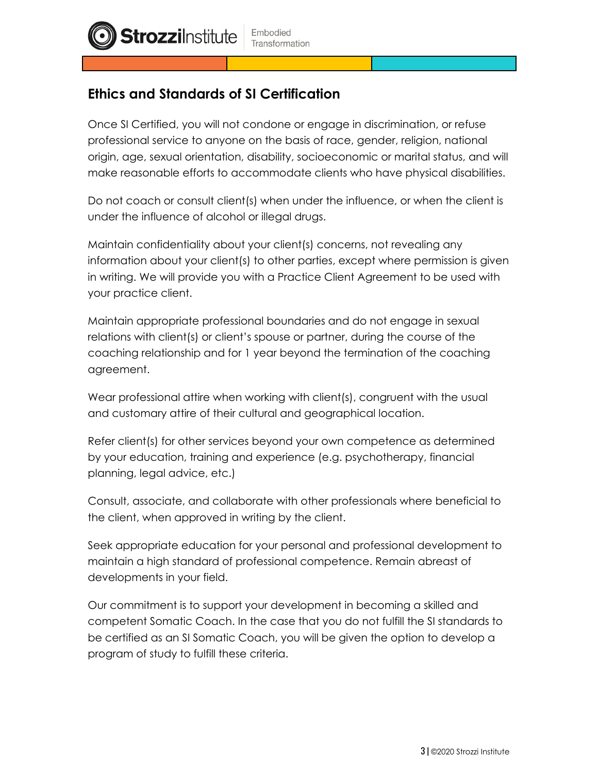

## **Ethics and Standards of SI Certification**

Once SI Certified, you will not condone or engage in discrimination, or refuse professional service to anyone on the basis of race, gender, religion, national origin, age, sexual orientation, disability, socioeconomic or marital status, and will make reasonable efforts to accommodate clients who have physical disabilities.

Do not coach or consult client(s) when under the influence, or when the client is under the influence of alcohol or illegal drugs.

Maintain confidentiality about your client(s) concerns, not revealing any information about your client(s) to other parties, except where permission is given in writing. We will provide you with a Practice Client Agreement to be used with your practice client.

Maintain appropriate professional boundaries and do not engage in sexual relations with client(s) or client's spouse or partner, during the course of the coaching relationship and for 1 year beyond the termination of the coaching agreement.

Wear professional attire when working with client(s), congruent with the usual and customary attire of their cultural and geographical location.

Refer client(s) for other services beyond your own competence as determined by your education, training and experience (e.g. psychotherapy, financial planning, legal advice, etc.)

Consult, associate, and collaborate with other professionals where beneficial to the client, when approved in writing by the client.

Seek appropriate education for your personal and professional development to maintain a high standard of professional competence. Remain abreast of developments in your field.

Our commitment is to support your development in becoming a skilled and competent Somatic Coach. In the case that you do not fulfill the SI standards to be certified as an SI Somatic Coach, you will be given the option to develop a program of study to fulfill these criteria.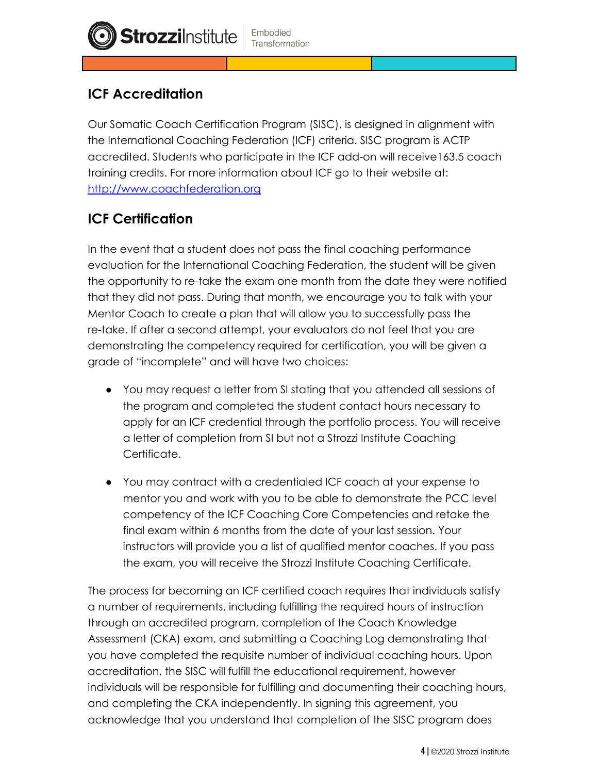# **ICF Accreditation**

**Strozzilnstitute** 

Our Somatic Coach Certification Program (SISC), is designed in alignment with the International Coaching Federation (ICF) criteria. SISC program is ACTP accredited. Students who participate in the ICF add-on will receive163.5 coach training credits. For more information about ICF go to their website at: <http://www.coachfederation.org>

## **ICF Certification**

In the event that a student does not pass the final coaching performance evaluation for the International Coaching Federation, the student will be given the opportunity to re-take the exam one month from the date they were notified that they did not pass. During that month, we encourage you to talk with your Mentor Coach to create a plan that will allow you to successfully pass the re-take. If after a second attempt, your evaluators do not feel that you are demonstrating the competency required for certification, you will be given a grade of "incomplete" and will have two choices:

- You may request a letter from SI stating that you attended all sessions of the program and completed the student contact hours necessary to apply for an ICF credential through the portfolio process. You will receive a letter of completion from SI but not a Strozzi Institute Coaching Certificate.
- You may contract with a credentialed ICF coach at your expense to mentor you and work with you to be able to demonstrate the PCC level competency of the ICF Coaching Core Competencies and retake the final exam within 6 months from the date of your last session. Your instructors will provide you a list of qualified mentor coaches. If you pass the exam, you will receive the Strozzi Institute Coaching Certificate.

The process for becoming an ICF certified coach requires that individuals satisfy a number of requirements, including fulfilling the required hours of instruction through an accredited program, completion of the Coach Knowledge Assessment (CKA) exam, and submitting a Coaching Log demonstrating that you have completed the requisite number of individual coaching hours. Upon accreditation, the SISC will fulfill the educational requirement, however individuals will be responsible for fulfilling and documenting their coaching hours, and completing the CKA independently. In signing this agreement, you acknowledge that you understand that completion of the SISC program does